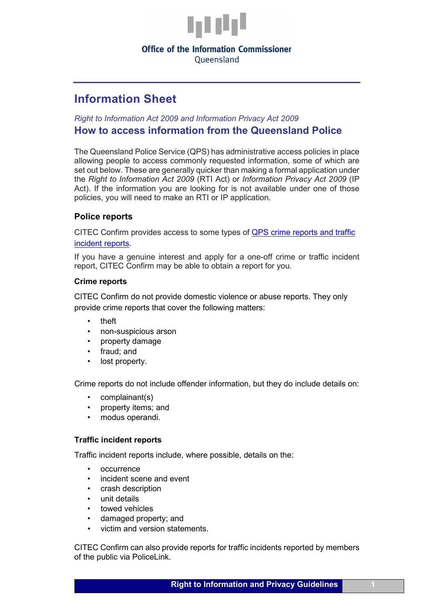

# **Office of the Information Commissioner**

Oueensland

# **Information Sheet**

# *Right to Information Act 2009 and Information Privacy Act 2009*  **How to access information from the Queensland Police**

The Queensland Police Service (QPS) has administrative access policies in place allowing people to access commonly requested information, some of which are set out below. These are generally quicker than making a formal application under the *Right to Information Act 2009* (RTI Act) or *Information Privacy Act 2009* (IP Act). If the information you are looking for is not available under one of those policies, you will need to make an RTI or IP application.

# **Police reports**

CITEC Confirm provides access to some types of [QPS crime reports and traffic](https://www.confirm.com.au/products/police/)  [incident reports.](https://www.confirm.com.au/products/police/)

If you have a genuine interest and apply for a one-off crime or traffic incident report, CITEC Confirm may be able to obtain a report for you.

## **Crime reports**

CITEC Confirm do not provide domestic violence or abuse reports. They only provide crime reports that cover the following matters:

- theft
- non-suspicious arson
- property damage
- fraud; and
- lost property.

Crime reports do not include offender information, but they do include details on:

- complainant(s)
- property items; and
- modus operandi.

## **Traffic incident reports**

Traffic incident reports include, where possible, details on the:

- occurrence
- incident scene and event
- crash description
- unit details
- towed vehicles
- damaged property; and
- victim and version statements.

CITEC Confirm can also provide reports for traffic incidents reported by members of the public via PoliceLink.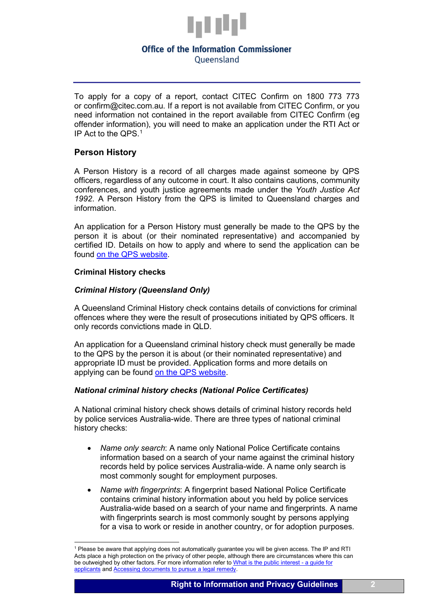

#### **Office of the Information Commissioner** Oueensland

To apply for a copy of a report, contact CITEC Confirm on 1800 773 773 or [confirm@citec.com.au.](mailto:confirm@citec.com.au) If a report is not available from CITEC Confirm, or you need information not contained in the report available from CITEC Confirm (eg offender information), you will need to make an application under the RTI Act or IP Act to the QPS. [1](#page-1-0)

## **Person History**

A Person History is a record of all charges made against someone by QPS officers, regardless of any outcome in court. It also contains cautions, community conferences, and youth justice agreements made under the *Youth Justice Act 1992*. A Person History from the QPS is limited to Queensland charges and information.

An application for a Person History must generally be made to the QPS by the person it is about (or their nominated representative) and accompanied by certified ID. Details on how to apply and where to send the application can be found [on the QPS website.](https://www.police.qld.gov.au/corporatedocs/purchase/Person-History.htm)

#### **Criminal History checks**

## *Criminal History (Queensland Only)*

A Queensland Criminal History check contains details of convictions for criminal offences where they were the result of prosecutions initiated by QPS officers. It only records convictions made in QLD.

An application for a Queensland criminal history check must generally be made to the QPS by the person it is about (or their nominated representative) and appropriate ID must be provided. Application forms and more details on applying can be found [on the QPS website.](https://www.police.qld.gov.au/corporatedocs/purchase/Criminal-History-%28Queensland-Only%29.htm)

## *National criminal history checks (National Police Certificates)*

A National criminal history check shows details of criminal history records held by police services Australia-wide. There are three types of national criminal history checks:

- *Name only search*: A name only National Police Certificate contains information based on a search of your name against the criminal history records held by police services Australia-wide. A name only search is most commonly sought for employment purposes.
- *Name with fingerprints*: A fingerprint based National Police Certificate contains criminal history information about you held by police services Australia-wide based on a search of your name and fingerprints. A name with fingerprints search is most commonly sought by persons applying for a visa to work or reside in another country, or for adoption purposes.

<span id="page-1-0"></span><sup>&</sup>lt;sup>1</sup> Please be aware that applying does not automatically guarantee you will be given access. The IP and RTI Acts place a high protection on the privacy of other people, although there are circumstances where this can be outweighed by other factors. For more information refer to [What is the public interest -](https://www.oic.qld.gov.au/guidelines/for-community-members/information-sheets-access-and-amendment/what-is-the-public-interest) a guide for [applicants](https://www.oic.qld.gov.au/guidelines/for-community-members/information-sheets-access-and-amendment/what-is-the-public-interest) and [Accessing documents to pursue a legal remedy.](https://www.oic.qld.gov.au/guidelines/for-community-members/information-sheets-access-and-amendment/accessing-documents-to-pursue-a-legal-remedy)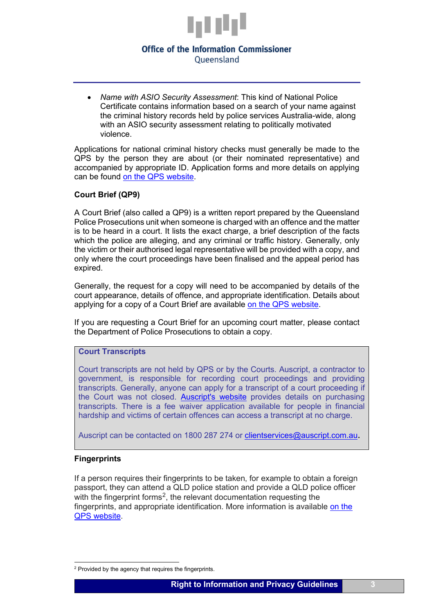

## **Office of the Information Commissioner** Oueensland

• *Name with ASIO Security Assessment*: This kind of National Police Certificate contains information based on a search of your name against the criminal history records held by police services Australia-wide, along with an ASIO security assessment relating to politically motivated violence.

Applications for national criminal history checks must generally be made to the QPS by the person they are about (or their nominated representative) and accompanied by appropriate ID. Application forms and more details on applying can be found [on the QPS website.](https://www.police.qld.gov.au/corporatedocs/purchase/national-police-certificate/default.htm)

## **Court Brief (QP9)**

A Court Brief (also called a QP9) is a written report prepared by the Queensland Police Prosecutions unit when someone is charged with an offence and the matter is to be heard in a court. It lists the exact charge, a brief description of the facts which the police are alleging, and any criminal or traffic history. Generally, only the victim or their authorised legal representative will be provided with a copy, and only where the court proceedings have been finalised and the appeal period has expired.

Generally, the request for a copy will need to be accompanied by details of the court appearance, details of offence, and appropriate identification. Details about applying for a copy of a Court Brief are available [on the QPS website.](https://www.police.qld.gov.au/corporatedocs/purchase/Court-Brief-%28QP-9%29.htm)

If you are requesting a Court Brief for an upcoming court matter, please contact the Department of Police Prosecutions to obtain a copy.

#### **Court Transcripts**

Court transcripts are not held by QPS or by the Courts. Auscript, a contractor to government, is responsible for recording court proceedings and providing transcripts. Generally, anyone can apply for a transcript of a court proceeding if the Court was not closed. [Auscript's website](https://www.auscript.com/en-AU/court-transcripts/queensland-courts/) provides details on purchasing transcripts. There is a fee waiver application available for people in financial hardship and victims of certain offences can access a transcript at no charge.

Auscript can be contacted on 1800 287 274 or [clientservices@auscript.com.au.](mailto:clientservices@auscript.com.au)

## **Fingerprints**

If a person requires their fingerprints to be taken, for example to obtain a foreign passport, they can attend a QLD police station and provide a QLD police officer with the fingerprint forms<sup>[2](#page-2-0)</sup>, the relevant documentation requesting the fingerprints, and appropriate identification. More information is available [on the](https://www.police.qld.gov.au/corporatedocs/purchase/Fingerprints.htm)  [QPS website.](https://www.police.qld.gov.au/corporatedocs/purchase/Fingerprints.htm)

<span id="page-2-0"></span><sup>&</sup>lt;sup>2</sup> Provided by the agency that requires the fingerprints.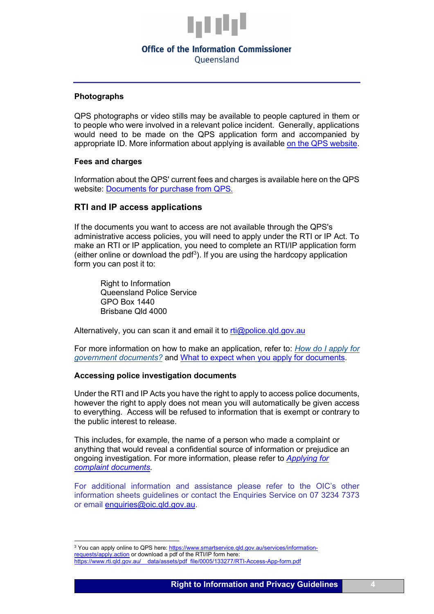

#### **Office of the Information Commissioner** Oueensland

**Photographs**

QPS photographs or video stills may be available to people captured in them or to people who were involved in a relevant police incident. Generally, applications would need to be made on the QPS application form and accompanied by appropriate ID. More information about applying is available [on the QPS website.](https://www.police.qld.gov.au/corporatedocs/purchase/photographs.htm)

#### **Fees and charges**

Information about the QPS' current fees and charges is available here on the QPS website: [Documents for purchase from QPS.](https://www.police.qld.gov.au/corporatedocs/purchase/default.htm)

#### **RTI and IP access applications**

If the documents you want to access are not available through the QPS's administrative access policies, you will need to apply under the RTI or IP Act. To make an RTI or IP application, you need to complete an RTI/IP application form (either online or download the pdf<sup>[3](#page-3-0)</sup>). If you are using the hardcopy application form you can post it to:

Right to Information Queensland Police Service GPO Box 1440 Brisbane Qld 4000

Alternatively, you can scan it and email it to  $rti@policed.dqov.au$ 

For more information on how to make an application, refer to: *[How do I apply for](https://www.oic.qld.gov.au/guidelines/for-community-members/information-sheets-access-and-amendment/how-to-apply-for-government-documents)  [government documents?](https://www.oic.qld.gov.au/guidelines/for-community-members/information-sheets-access-and-amendment/how-to-apply-for-government-documents)* and [What to expect when you apply for documents.](https://www.oic.qld.gov.au/guidelines/for-community-members/information-sheets-access-and-amendment/overview-of-the-application-process-what-to-expect-a-guide-for-applicants)

#### **Accessing police investigation documents**

Under the RTI and IP Acts you have the right to apply to access police documents, however the right to apply does not mean you will automatically be given access to everything. Access will be refused to information that is exempt or contrary to the public interest to release.

This includes, for example, the name of a person who made a complaint or anything that would reveal a confidential source of information or prejudice an ongoing investigation. For more information, please refer to *[Applying for](https://www.oic.qld.gov.au/guidelines/for-community-members/information-sheets-access-and-amendment/applying-for-complaint-documents)  [complaint documents.](https://www.oic.qld.gov.au/guidelines/for-community-members/information-sheets-access-and-amendment/applying-for-complaint-documents)*

For additional information and assistance please refer to the OIC's other information sheets guidelines or contact the Enquiries Service on 07 3234 7373 or email [enquiries@oic.qld.gov.au.](mailto:enquiries@oic.qld.gov.au)

<span id="page-3-0"></span><sup>&</sup>lt;sup>3</sup> You can apply online to QPS here: [https://www.smartservice.qld.gov.au/services/information](https://www.smartservice.qld.gov.au/services/information-requests/apply.action)[requests/apply.action](https://www.smartservice.qld.gov.au/services/information-requests/apply.action) or download a pdf of the RTI/IP form here: https://www.rti.qld.gov.au/ data/assets/pdf\_file/0005/133277/RTI-Access-App-form.pdf